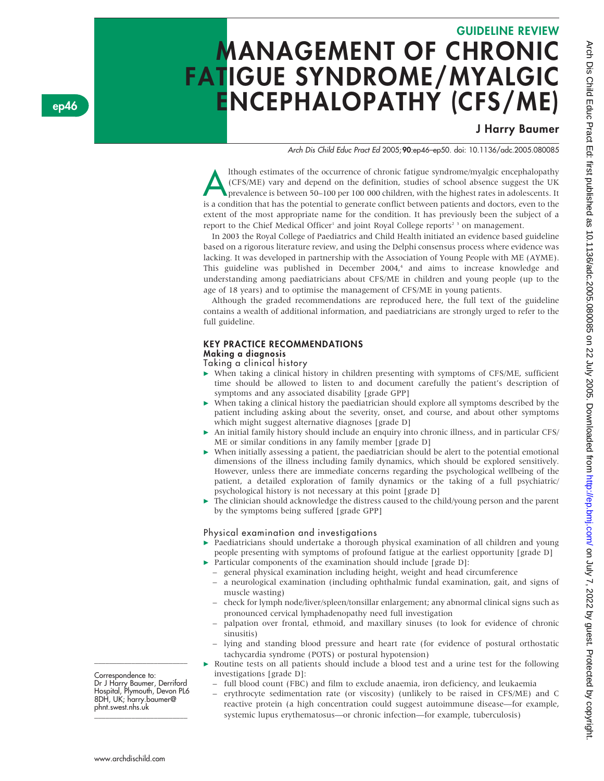# GUIDELINE REVIEW MANAGEMENT OF CHRONIC FATIGUE SYNDROME/MYALGIC ENCEPHALOPATHY (CFS/ME)

# J Harry Baumer

Arch Dis Child Educ Pract Ed 2005;90:ep46–ep50. doi: 10.1136/adc.2005.080085

Ithough estimates of the occurrence of chronic fatigue syndrome/myalgic encephalopathy<br>(CFS/ME) vary and depend on the definition, studies of school absence suggest the UK<br>prevalence is between 50–100 per 100 000 children, (CFS/ME) vary and depend on the definition, studies of school absence suggest the UK is a condition that has the potential to generate conflict between patients and doctors, even to the extent of the most appropriate name for the condition. It has previously been the subject of a report to the Chief Medical Officer<sup>1</sup> and joint Royal College reports<sup>2</sup> 3 on management.

In 2003 the Royal College of Paediatrics and Child Health initiated an evidence based guideline based on a rigorous literature review, and using the Delphi consensus process where evidence was lacking. It was developed in partnership with the Association of Young People with ME (AYME). This guideline was published in December 2004,<sup>4</sup> and aims to increase knowledge and understanding among paediatricians about CFS/ME in children and young people (up to the age of 18 years) and to optimise the management of CFS/ME in young patients.

Although the graded recommendations are reproduced here, the full text of the guideline contains a wealth of additional information, and paediatricians are strongly urged to refer to the full guideline.

### KEY PRACTICE RECOMMENDATIONS

#### Making a diagnosis

Taking a clinical history

- $\triangleright$  When taking a clinical history in children presenting with symptoms of CFS/ME, sufficient time should be allowed to listen to and document carefully the patient's description of symptoms and any associated disability [grade GPP]
- $\blacktriangleright$  When taking a clinical history the paediatrician should explore all symptoms described by the patient including asking about the severity, onset, and course, and about other symptoms which might suggest alternative diagnoses [grade D]
- c An initial family history should include an enquiry into chronic illness, and in particular CFS/ ME or similar conditions in any family member [grade D]
- When initially assessing a patient, the paediatrician should be alert to the potential emotional dimensions of the illness including family dynamics, which should be explored sensitively. However, unless there are immediate concerns regarding the psychological wellbeing of the patient, a detailed exploration of family dynamics or the taking of a full psychiatric/ psychological history is not necessary at this point [grade D]
- $\blacktriangleright$  The clinician should acknowledge the distress caused to the child/young person and the parent by the symptoms being suffered [grade GPP]

#### Physical examination and investigations

- Paediatricians should undertake a thorough physical examination of all children and young people presenting with symptoms of profound fatigue at the earliest opportunity [grade D]
	- Particular components of the examination should include [grade D]:
	- general physical examination including height, weight and head circumference
	- a neurological examination (including ophthalmic fundal examination, gait, and signs of muscle wasting)
	- check for lymph node/liver/spleen/tonsillar enlargement; any abnormal clinical signs such as pronounced cervical lymphadenopathy need full investigation
	- palpation over frontal, ethmoid, and maxillary sinuses (to look for evidence of chronic sinusitis)
	- lying and standing blood pressure and heart rate (for evidence of postural orthostatic tachycardia syndrome (POTS) or postural hypotension)
- $\triangleright$  Routine tests on all patients should include a blood test and a urine test for the following investigations [grade D]:
	- full blood count (FBC) and film to exclude anaemia, iron deficiency, and leukaemia
	- erythrocyte sedimentation rate (or viscosity) (unlikely to be raised in CFS/ME) and C reactive protein (a high concentration could suggest autoimmune disease—for example, systemic lupus erythematosus—or chronic infection—for example, tuberculosis)

Correspondence to: Dr J Harry Baumer, Derriford Hospital, Plymouth, Devon PL6 8DH, UK; harry.baumer@ phnt.swest.nhs.uk

\_\_\_\_\_\_\_\_\_\_\_\_\_\_\_\_\_\_\_\_\_\_\_\_\_

\_\_\_\_\_\_\_\_\_\_\_\_\_\_\_\_\_\_\_\_\_\_\_\_\_

ep46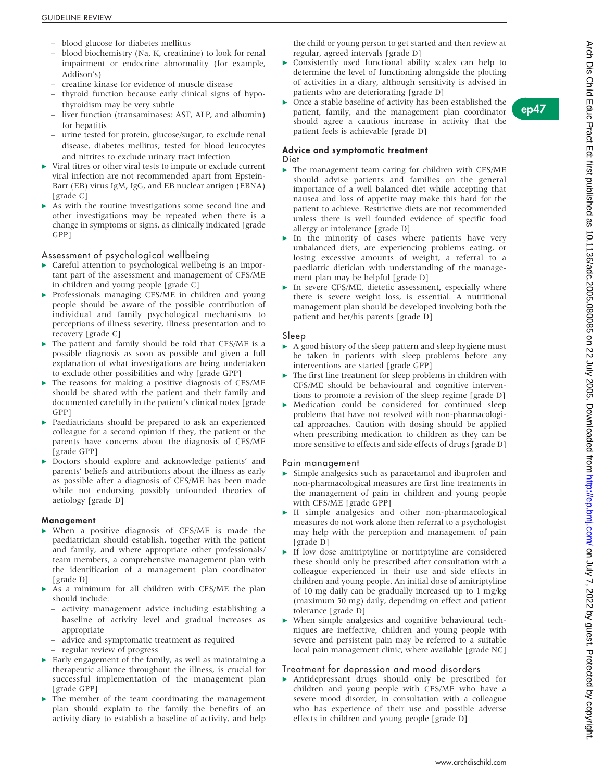- blood glucose for diabetes mellitus
- blood biochemistry (Na, K, creatinine) to look for renal impairment or endocrine abnormality (for example, Addison's)
- creatine kinase for evidence of muscle disease
- thyroid function because early clinical signs of hypothyroidism may be very subtle
- liver function (transaminases: AST, ALP, and albumin) for hepatitis
- urine tested for protein, glucose/sugar, to exclude renal disease, diabetes mellitus; tested for blood leucocytes and nitrites to exclude urinary tract infection
- $\triangleright$  Viral titres or other viral tests to impute or exclude current viral infection are not recommended apart from Epstein-Barr (EB) virus IgM, IgG, and EB nuclear antigen (EBNA) [grade C]
- As with the routine investigations some second line and other investigations may be repeated when there is a change in symptoms or signs, as clinically indicated [grade GPP]

#### Assessment of psychological wellbeing

- $\triangleright$  Careful attention to psychological wellbeing is an important part of the assessment and management of CFS/ME in children and young people [grade C]
- $\blacktriangleright$  Professionals managing CFS/ME in children and young people should be aware of the possible contribution of individual and family psychological mechanisms to perceptions of illness severity, illness presentation and to recovery [grade C]
- $\blacktriangleright$  The patient and family should be told that CFS/ME is a possible diagnosis as soon as possible and given a full explanation of what investigations are being undertaken to exclude other possibilities and why [grade GPP]
- $\blacktriangleright$  The reasons for making a positive diagnosis of CFS/ME should be shared with the patient and their family and documented carefully in the patient's clinical notes [grade GPP]
- $\blacktriangleright$  Paediatricians should be prepared to ask an experienced colleague for a second opinion if they, the patient or the parents have concerns about the diagnosis of CFS/ME [grade GPP]
- **Doctors should explore and acknowledge patients' and** parents' beliefs and attributions about the illness as early as possible after a diagnosis of CFS/ME has been made while not endorsing possibly unfounded theories of aetiology [grade D]

#### Management

- $\triangleright$  When a positive diagnosis of CFS/ME is made the paediatrician should establish, together with the patient and family, and where appropriate other professionals/ team members, a comprehensive management plan with the identification of a management plan coordinator [grade D]
- $\triangleright$  As a minimum for all children with CFS/ME the plan should include:
	- activity management advice including establishing a baseline of activity level and gradual increases as appropriate
	- advice and symptomatic treatment as required
	- regular review of progress
- $\blacktriangleright$  Early engagement of the family, as well as maintaining a therapeutic alliance throughout the illness, is crucial for successful implementation of the management plan [grade GPP]
- $\blacktriangleright$  The member of the team coordinating the management plan should explain to the family the benefits of an activity diary to establish a baseline of activity, and help

the child or young person to get started and then review at regular, agreed intervals [grade D]

c Consistently used functional ability scales can help to determine the level of functioning alongside the plotting of activities in a diary, although sensitivity is advised in patients who are deteriorating [grade D]

ep47

 $\triangleright$  Once a stable baseline of activity has been established the patient, family, and the management plan coordinator should agree a cautious increase in activity that the patient feels is achievable [grade D]

#### Advice and symptomatic treatment Diet

- $\blacktriangleright$  The management team caring for children with CFS/ME should advise patients and families on the general importance of a well balanced diet while accepting that nausea and loss of appetite may make this hard for the patient to achieve. Restrictive diets are not recommended unless there is well founded evidence of specific food allergy or intolerance [grade D]
- $\blacktriangleright$  In the minority of cases where patients have very unbalanced diets, are experiencing problems eating, or losing excessive amounts of weight, a referral to a paediatric dietician with understanding of the management plan may be helpful [grade D]
- In severe CFS/ME, dietetic assessment, especially where there is severe weight loss, is essential. A nutritional management plan should be developed involving both the patient and her/his parents [grade D]

#### Sleep

- $\triangleright$  A good history of the sleep pattern and sleep hygiene must be taken in patients with sleep problems before any interventions are started [grade GPP]
- $\blacktriangleright$  The first line treatment for sleep problems in children with CFS/ME should be behavioural and cognitive interventions to promote a revision of the sleep regime [grade D]
- $\blacktriangleright$  Medication could be considered for continued sleep problems that have not resolved with non-pharmacological approaches. Caution with dosing should be applied when prescribing medication to children as they can be more sensitive to effects and side effects of drugs [grade D]

#### Pain management

- $\triangleright$  Simple analgesics such as paracetamol and ibuprofen and non-pharmacological measures are first line treatments in the management of pain in children and young people with CFS/ME [grade GPP]
- $\triangleright$  If simple analgesics and other non-pharmacological measures do not work alone then referral to a psychologist may help with the perception and management of pain [grade D]
- If low dose amitriptyline or nortriptyline are considered these should only be prescribed after consultation with a colleague experienced in their use and side effects in children and young people. An initial dose of amitriptyline of 10 mg daily can be gradually increased up to 1 mg/kg (maximum 50 mg) daily, depending on effect and patient tolerance [grade D]
- $\blacktriangleright$  When simple analgesics and cognitive behavioural techniques are ineffective, children and young people with severe and persistent pain may be referred to a suitable local pain management clinic, where available [grade NC]

#### Treatment for depression and mood disorders

 $\triangleright$  Antidepressant drugs should only be prescribed for children and young people with CFS/ME who have a severe mood disorder, in consultation with a colleague who has experience of their use and possible adverse effects in children and young people [grade D]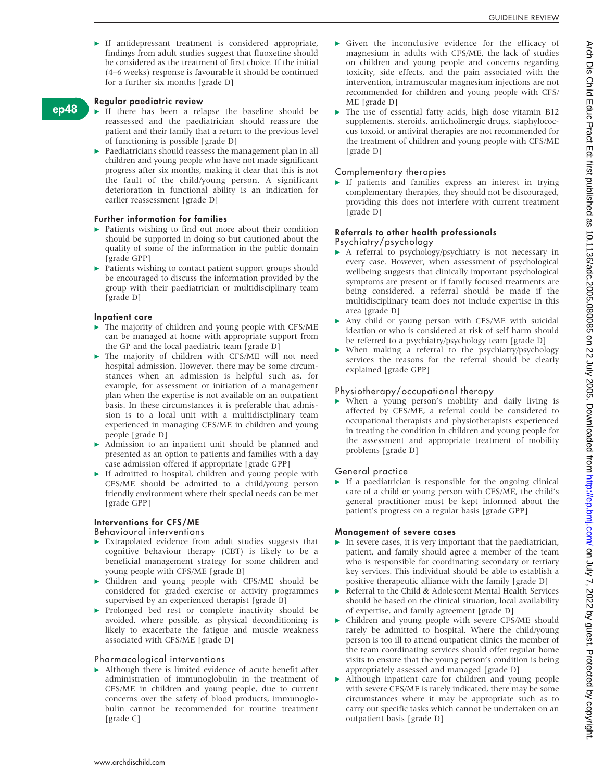$\blacktriangleright$  If antidepressant treatment is considered appropriate, findings from adult studies suggest that fluoxetine should be considered as the treatment of first choice. If the initial (4–6 weeks) response is favourable it should be continued for a further six months [grade D]

#### Regular paediatric review

ep48

- $\blacktriangleright$  If there has been a relapse the baseline should be reassessed and the paediatrician should reassure the patient and their family that a return to the previous level of functioning is possible [grade D]
- $\blacktriangleright$  Paediatricians should reassess the management plan in all children and young people who have not made significant progress after six months, making it clear that this is not the fault of the child/young person. A significant deterioration in functional ability is an indication for earlier reassessment [grade D]

#### Further information for families

- $\blacktriangleright$  Patients wishing to find out more about their condition should be supported in doing so but cautioned about the quality of some of the information in the public domain [grade GPP]
- $\blacktriangleright$  Patients wishing to contact patient support groups should be encouraged to discuss the information provided by the group with their paediatrician or multidisciplinary team [grade D]

#### Inpatient care

- $\blacktriangleright$  The majority of children and young people with CFS/ME can be managed at home with appropriate support from the GP and the local paediatric team [grade D]
- $\blacktriangleright$  The majority of children with CFS/ME will not need hospital admission. However, there may be some circumstances when an admission is helpful such as, for example, for assessment or initiation of a management plan when the expertise is not available on an outpatient basis. In these circumstances it is preferable that admission is to a local unit with a multidisciplinary team experienced in managing CFS/ME in children and young people [grade D]
- $\blacktriangleright$  Admission to an inpatient unit should be planned and presented as an option to patients and families with a day case admission offered if appropriate [grade GPP]
- $\blacktriangleright$  If admitted to hospital, children and young people with CFS/ME should be admitted to a child/young person friendly environment where their special needs can be met [grade GPP]

#### Interventions for CFS/ME

#### Behavioural interventions

- $\blacktriangleright$  Extrapolated evidence from adult studies suggests that cognitive behaviour therapy (CBT) is likely to be a beneficial management strategy for some children and young people with CFS/ME [grade B]
- $\triangleright$  Children and young people with CFS/ME should be considered for graded exercise or activity programmes supervised by an experienced therapist [grade B]
- **Prolonged bed rest or complete inactivity should be** avoided, where possible, as physical deconditioning is likely to exacerbate the fatigue and muscle weakness associated with CFS/ME [grade D]

#### Pharmacological interventions

 $\blacktriangleright$  Although there is limited evidence of acute benefit after administration of immunoglobulin in the treatment of CFS/ME in children and young people, due to current concerns over the safety of blood products, immunoglobulin cannot be recommended for routine treatment [grade C]

- $\blacktriangleright$  Given the inconclusive evidence for the efficacy of magnesium in adults with CFS/ME, the lack of studies on children and young people and concerns regarding toxicity, side effects, and the pain associated with the intervention, intramuscular magnesium injections are not recommended for children and young people with CFS/ ME [grade D]
- $\blacktriangleright$  The use of essential fatty acids, high dose vitamin B12 supplements, steroids, anticholinergic drugs, staphylococcus toxoid, or antiviral therapies are not recommended for the treatment of children and young people with CFS/ME [grade D]

#### Complementary therapies

 $\triangleright$  If patients and families express an interest in trying complementary therapies, they should not be discouraged, providing this does not interfere with current treatment [grade D]

#### Referrals to other health professionals

Psychiatry/psychology

- $\blacktriangleright$  A referral to psychology/psychiatry is not necessary in every case. However, when assessment of psychological wellbeing suggests that clinically important psychological symptoms are present or if family focused treatments are being considered, a referral should be made if the multidisciplinary team does not include expertise in this area [grade D]
- Any child or young person with CFS/ME with suicidal ideation or who is considered at risk of self harm should be referred to a psychiatry/psychology team [grade D]
- When making a referral to the psychiatry/psychology services the reasons for the referral should be clearly explained [grade GPP]

#### Physiotherapy/occupational therapy

 $\triangleright$  When a young person's mobility and daily living is affected by CFS/ME, a referral could be considered to occupational therapists and physiotherapists experienced in treating the condition in children and young people for the assessment and appropriate treatment of mobility problems [grade D]

#### General practice

 $\triangleright$  If a paediatrician is responsible for the ongoing clinical care of a child or young person with CFS/ME, the child's general practitioner must be kept informed about the patient's progress on a regular basis [grade GPP]

#### Management of severe cases

- $\blacktriangleright$  In severe cases, it is very important that the paediatrician, patient, and family should agree a member of the team who is responsible for coordinating secondary or tertiary key services. This individual should be able to establish a positive therapeutic alliance with the family [grade D]
- Referral to the Child & Adolescent Mental Health Services should be based on the clinical situation, local availability of expertise, and family agreement [grade D]
- $\blacktriangleright$  Children and young people with severe CFS/ME should rarely be admitted to hospital. Where the child/young person is too ill to attend outpatient clinics the member of the team coordinating services should offer regular home visits to ensure that the young person's condition is being appropriately assessed and managed [grade D]
- Although inpatient care for children and young people with severe CFS/ME is rarely indicated, there may be some circumstances where it may be appropriate such as to carry out specific tasks which cannot be undertaken on an outpatient basis [grade D]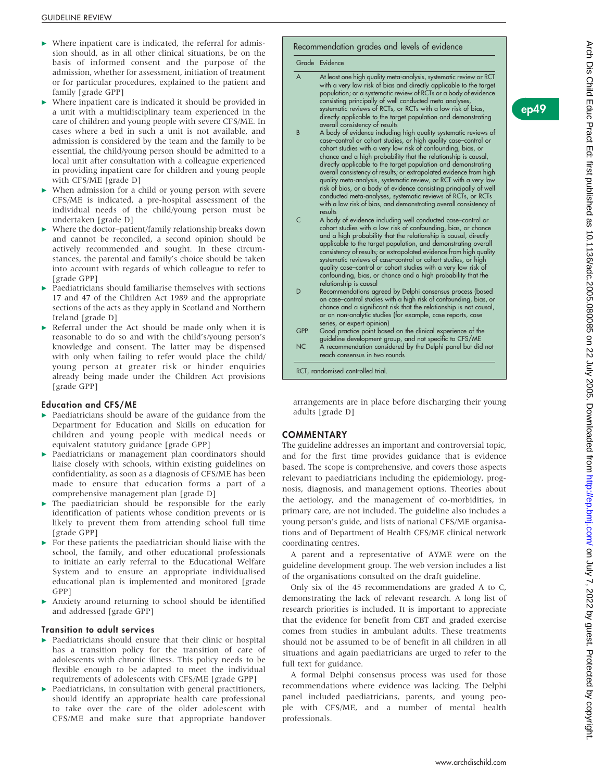- $\blacktriangleright$  Where inpatient care is indicated, the referral for admission should, as in all other clinical situations, be on the basis of informed consent and the purpose of the admission, whether for assessment, initiation of treatment or for particular procedures, explained to the patient and family [grade GPP]
- $\triangleright$  Where inpatient care is indicated it should be provided in a unit with a multidisciplinary team experienced in the care of children and young people with severe CFS/ME. In cases where a bed in such a unit is not available, and admission is considered by the team and the family to be essential, the child/young person should be admitted to a local unit after consultation with a colleague experienced in providing inpatient care for children and young people with CFS/ME [grade D]
- $\triangleright$  When admission for a child or young person with severe CFS/ME is indicated, a pre-hospital assessment of the individual needs of the child/young person must be undertaken [grade D]
- Where the doctor–patient/family relationship breaks down and cannot be reconciled, a second opinion should be actively recommended and sought. In these circumstances, the parental and family's choice should be taken into account with regards of which colleague to refer to [grade GPP]
- $\blacktriangleright$  Paediatricians should familiarise themselves with sections 17 and 47 of the Children Act 1989 and the appropriate sections of the acts as they apply in Scotland and Northern Ireland [grade D]
- $\triangleright$  Referral under the Act should be made only when it is reasonable to do so and with the child's/young person's knowledge and consent. The latter may be dispensed with only when failing to refer would place the child/ young person at greater risk or hinder enquiries already being made under the Children Act provisions [grade GPP]

#### Education and CFS/ME

- $\blacktriangleright$  Paediatricians should be aware of the guidance from the Department for Education and Skills on education for children and young people with medical needs or equivalent statutory guidance [grade GPP]
- $\blacktriangleright$  Paediatricians or management plan coordinators should liaise closely with schools, within existing guidelines on confidentiality, as soon as a diagnosis of CFS/ME has been made to ensure that education forms a part of a comprehensive management plan [grade D]
- $\blacktriangleright$  The paediatrician should be responsible for the early identification of patients whose condition prevents or is likely to prevent them from attending school full time [grade GPP]
- $\blacktriangleright$  For these patients the paediatrician should liaise with the school, the family, and other educational professionals to initiate an early referral to the Educational Welfare System and to ensure an appropriate individualised educational plan is implemented and monitored [grade GPP]
- Anxiety around returning to school should be identified and addressed [grade GPP]

#### Transition to adult services

- Paediatricians should ensure that their clinic or hospital has a transition policy for the transition of care of adolescents with chronic illness. This policy needs to be flexible enough to be adapted to meet the individual requirements of adolescents with CFS/ME [grade GPP]
- $\blacktriangleright$  Paediatricians, in consultation with general practitioners, should identify an appropriate health care professional to take over the care of the older adolescent with CFS/ME and make sure that appropriate handover

# Recommendation grades and levels of evidence

#### Grade Evidence

A At least one high quality meta-analysis, systematic review or RCT with a very low risk of bias and directly applicable to the target population; or a systematic review of RCTs or a body of evidence consisting principally of well conducted meta analyses systematic reviews of RCTs, or RCTs with a low risk of bias, directly applicable to the target population and demonstrating overall consistency of results B A body of evidence including high quality systematic reviews of case–control or cohort studies, or high quality case–control or cohort studies with a very low risk of confounding, bias, or chance and a high probability that the relationship is causal, directly applicable to the target population and demonstrating overall consistency of results; or extrapolated evidence from high quality meta-analysis, systematic review, or RCT with a very low risk of bias, or a body of evidence consisting principally of well conducted meta-analyses, systematic reviews of RCTs, or RCTs with a low risk of bias, and demonstrating overall consistency of results C A body of evidence including well conducted case–control or cohort studies with a low risk of confounding, bias, or chance and a high probability that the relationship is causal, directly applicable to the target population, and demonstrating overall consistency of results; or extrapolated evidence from high quality systematic reviews of case–control or cohort studies, or high quality case–control or cohort studies with a very low risk of confounding, bias, or chance and a high probability that the relationship is causal D Recommendations agreed by Delphi consensus process (based on case–control studies with a high risk of confounding, bias, or chance and a significant risk that the relationship is not causal, or on non-analytic studies (for example, case reports, case series, or expert opinion) GPP Good practice point based on the clinical experience of the guideline development group, and not specific to CFS/ME NC A recommendation considered by the Delphi panel but did not reach consensus in two rounds RCT, randomised controlled trial.

arrangements are in place before discharging their young adults [grade D]

#### **COMMENTARY**

The guideline addresses an important and controversial topic, and for the first time provides guidance that is evidence based. The scope is comprehensive, and covers those aspects relevant to paediatricians including the epidemiology, prognosis, diagnosis, and management options. Theories about the aetiology, and the management of co-morbidities, in primary care, are not included. The guideline also includes a young person's guide, and lists of national CFS/ME organisations and of Department of Health CFS/ME clinical network coordinating centres.

A parent and a representative of AYME were on the guideline development group. The web version includes a list of the organisations consulted on the draft guideline.

Only six of the 45 recommendations are graded A to C, demonstrating the lack of relevant research. A long list of research priorities is included. It is important to appreciate that the evidence for benefit from CBT and graded exercise comes from studies in ambulant adults. These treatments should not be assumed to be of benefit in all children in all situations and again paediatricians are urged to refer to the full text for guidance.

A formal Delphi consensus process was used for those recommendations where evidence was lacking. The Delphi panel included paediatricians, parents, and young people with CFS/ME, and a number of mental health professionals.

ep49